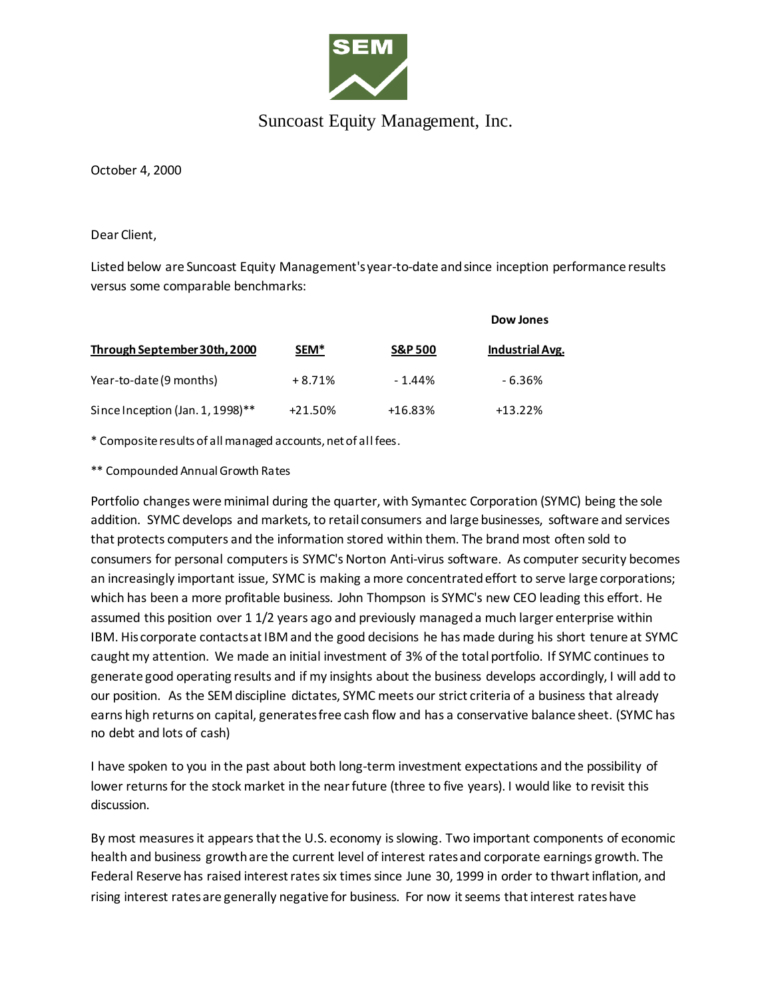

## Suncoast Equity Management, Inc.

October 4, 2000

Dear Client,

Listed below are Suncoast Equity Management's year-to-date and since inception performance results versus some comparable benchmarks:

|                                  |                  |                    | Dow Jones              |
|----------------------------------|------------------|--------------------|------------------------|
| Through September 30th, 2000     | SEM <sup>*</sup> | <b>S&amp;P 500</b> | <b>Industrial Avg.</b> |
| Year-to-date (9 months)          | $+8.71%$         | $-1.44%$           | $-6.36%$               |
| Since Inception (Jan. 1, 1998)** | $+21.50%$        | $+16.83%$          | $+13.22%$              |

\* Composite results of all managed accounts, net of all fees.

\*\* Compounded Annual Growth Rates

Portfolio changes were minimal during the quarter, with Symantec Corporation (SYMC) being the sole addition. SYMC develops and markets, to retail consumers and large businesses, software and services that protects computers and the information stored within them. The brand most often sold to consumers for personal computers is SYMC's Norton Anti-virus software. As computer security becomes an increasingly important issue, SYMC is making a more concentrated effort to serve large corporations; which has been a more profitable business. John Thompson is SYMC's new CEO leading this effort. He assumed this position over 1 1/2 years ago and previously managed a much larger enterprise within IBM. His corporate contacts at IBM and the good decisions he has made during his short tenure at SYMC caught my attention. We made an initial investment of 3% of the total portfolio. If SYMC continues to generate good operating results and if my insights about the business develops accordingly, I will add to our position. As the SEM discipline dictates, SYMC meets our strict criteria of a business that already earns high returns on capital, generates free cash flow and has a conservative balance sheet. (SYMC has no debt and lots of cash)

I have spoken to you in the past about both long-term investment expectations and the possibility of lower returns for the stock market in the near future (three to five years). I would like to revisit this discussion.

By most measures it appears that the U.S. economy is slowing. Two important components of economic health and business growth are the current level of interest rates and corporate earnings growth. The Federal Reserve has raised interest rates six times since June 30, 1999 in order to thwart inflation, and rising interest rates are generally negative for business. For now it seems that interest rates have